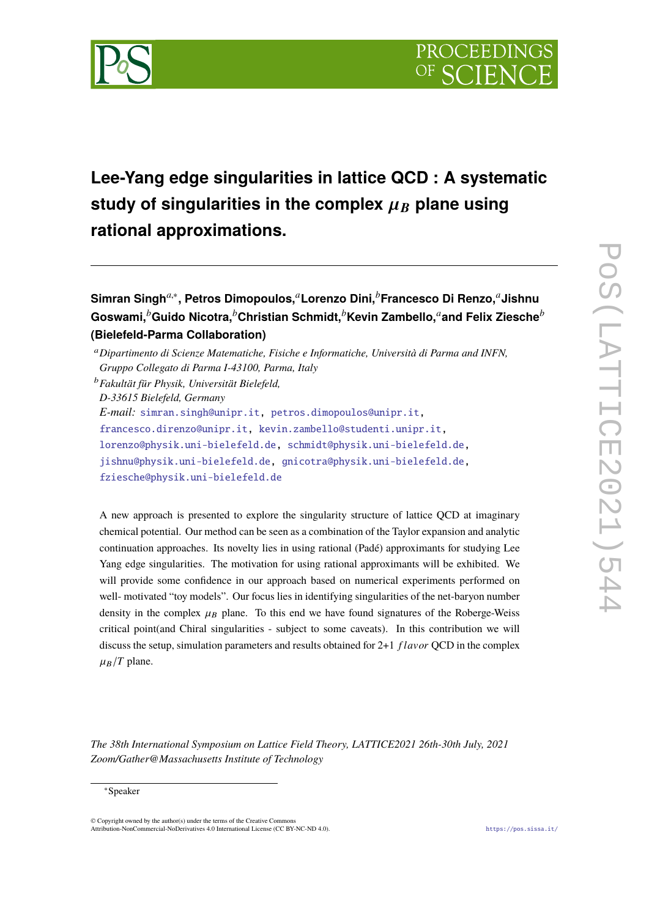

# **Lee-Yang edge singularities in lattice QCD : A systematic** study of singularities in the complex  $\mu_B$  plane using **rational approximations.**

```
Simran Singha,∗
, Petros Dimopoulos,aLorenzo Dini,bFrancesco Di Renzo,aJishnu
Goswami,bGuido Nicotra,bChristian Schmidt,bKevin Zambello,aand Felix Ziescheb
(Bielefeld-Parma Collaboration)
```
*D-33615 Bielefeld, Germany*

[fziesche@physik.uni-bielefeld.de](mailto:fziesche@physik.uni-bielefeld.de)

A new approach is presented to explore the singularity structure of lattice QCD at imaginary chemical potential. Our method can be seen as a combination of the Taylor expansion and analytic continuation approaches. Its novelty lies in using rational (Padé) approximants for studying Lee Yang edge singularities. The motivation for using rational approximants will be exhibited. We will provide some confidence in our approach based on numerical experiments performed on well- motivated "toy models". Our focus lies in identifying singularities of the net-baryon number density in the complex  $\mu_B$  plane. To this end we have found signatures of the Roberge-Weiss critical point(and Chiral singularities - subject to some caveats). In this contribution we will discuss the setup, simulation parameters and results obtained for 2+1 *f la*v*or* QCD in the complex  $\mu_B/T$  plane.

*The 38th International Symposium on Lattice Field Theory, LATTICE2021 26th-30th July, 2021 Zoom/Gather@Massachusetts Institute of Technology*

<sup>a</sup>*Dipartimento di Scienze Matematiche, Fisiche e Informatiche, Università di Parma and INFN, Gruppo Collegato di Parma I-43100, Parma, Italy*

<sup>b</sup>*Fakulta*Ü*t fu*Ü*r Physik, Universita*Ü*t Bielefeld,*

*E-mail:* [simran.singh@unipr.it,](mailto:simran.singh@unipr.it) [petros.dimopoulos@unipr.it,](mailto:petros.dimopoulos@unipr.it)

[francesco.direnzo@unipr.it,](mailto:francesco.direnzo@unipr.it) [kevin.zambello@studenti.unipr.it,](mailto:kevin.zambello@studenti.unipr.it)

[lorenzo@physik.uni-bielefeld.de,](mailto:lorenzo@physik.uni-bielefeld.de) [schmidt@physik.uni-bielefeld.de,](mailto:schmidt@physik.uni-bielefeld.de)

[jishnu@physik.uni-bielefeld.de,](mailto:jishnu@physik.uni-bielefeld.de) [gnicotra@physik.uni-bielefeld.de,](mailto:gnicotra@physik.uni-bielefeld.de)

<sup>∗</sup>Speaker

<sup>©</sup> Copyright owned by the author(s) under the terms of the Creative Commons Attribution-NonCommercial-NoDerivatives 4.0 International License (CC BY-NC-ND 4.0). <https://pos.sissa.it/>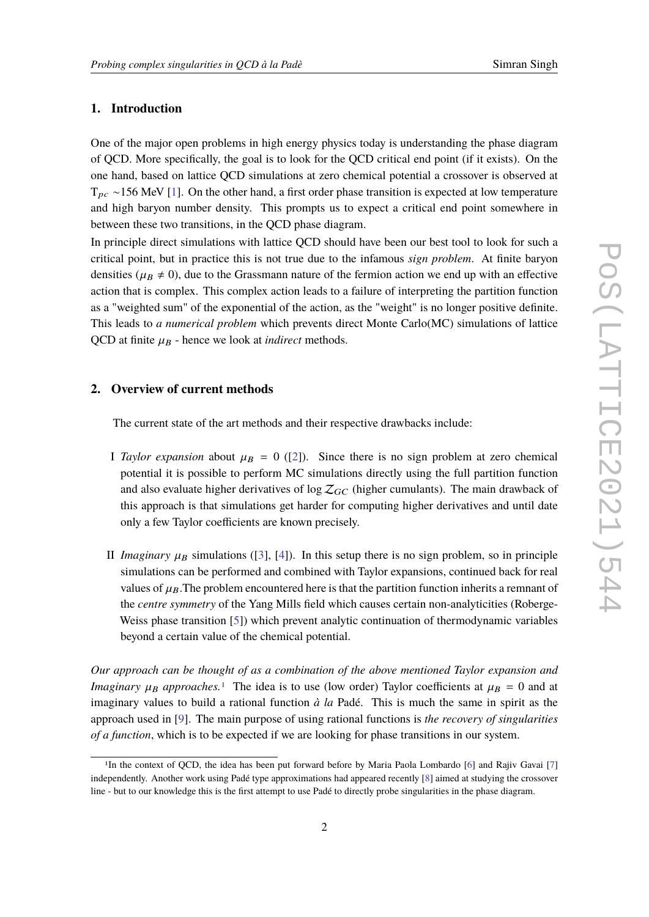# **1. Introduction**

One of the major open problems in high energy physics today is understanding the phase diagram of QCD. More specifically, the goal is to look for the QCD critical end point (if it exists). On the one hand, based on lattice QCD simulations at zero chemical potential a crossover is observed at  $T_{pc}$  ~156 MeV [\[1\]](#page-7-0). On the other hand, a first order phase transition is expected at low temperature and high baryon number density. This prompts us to expect a critical end point somewhere in between these two transitions, in the QCD phase diagram.

In principle direct simulations with lattice QCD should have been our best tool to look for such a critical point, but in practice this is not true due to the infamous *sign problem*. At finite baryon densities ( $\mu_B \neq 0$ ), due to the Grassmann nature of the fermion action we end up with an effective action that is complex. This complex action leads to a failure of interpreting the partition function as a "weighted sum" of the exponential of the action, as the "weight" is no longer positive definite. This leads to *a numerical problem* which prevents direct Monte Carlo(MC) simulations of lattice QCD at finite  $\mu_B$  - hence we look at *indirect* methods.

# **2. Overview of current methods**

The current state of the art methods and their respective drawbacks include:

- I *Taylor expansion* about  $\mu_B = 0$  ([\[2\]](#page-7-1)). Since there is no sign problem at zero chemical potential it is possible to perform MC simulations directly using the full partition function and also evaluate higher derivatives of  $\log Z_{GC}$  (higher cumulants). The main drawback of this approach is that simulations get harder for computing higher derivatives and until date only a few Taylor coefficients are known precisely.
- II *Imaginary*  $\mu_B$  simulations ([\[3\]](#page-7-2), [\[4\]](#page-7-3)). In this setup there is no sign problem, so in principle simulations can be performed and combined with Taylor expansions, continued back for real values of  $\mu_B$ . The problem encountered here is that the partition function inherits a remnant of the *centre symmetry* of the Yang Mills field which causes certain non-analyticities (Roberge-Weiss phase transition [\[5\]](#page-7-4)) which prevent analytic continuation of thermodynamic variables beyond a certain value of the chemical potential.

*Our approach can be thought of as a combination of the above mentioned Taylor expansion and Imaginary*  $\mu_B$  *approaches*.<sup>[1](#page-1-0)</sup> The idea is to use (low order) Taylor coefficients at  $\mu_B = 0$  and at imaginary values to build a rational function *à la* Padé. This is much the same in spirit as the approach used in [\[9\]](#page-8-0). The main purpose of using rational functions is *the recovery of singularities of a function*, which is to be expected if we are looking for phase transitions in our system.

<span id="page-1-0"></span><sup>&</sup>lt;sup>1</sup>In the context of QCD, the idea has been put forward before by Maria Paola Lombardo [\[6\]](#page-7-5) and Rajiv Gavai [\[7\]](#page-8-1) independently. Another work using Padé type approximations had appeared recently [\[8\]](#page-8-2) aimed at studying the crossover line - but to our knowledge this is the first attempt to use Padé to directly probe singularities in the phase diagram.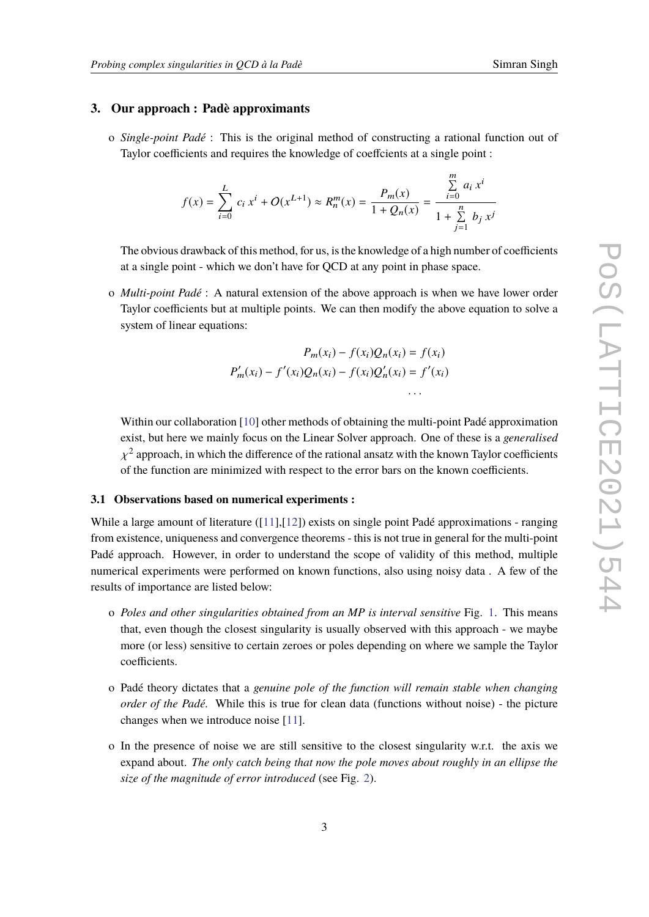# **3. Our approach : Padè approximants**

o *Single-point Padé* : This is the original method of constructing a rational function out of Taylor coefficients and requires the knowledge of coeffcients at a single point :

$$
f(x) = \sum_{i=0}^{L} c_i x^{i} + O(x^{L+1}) \approx R_n^m(x) = \frac{P_m(x)}{1 + Q_n(x)} = \frac{\sum_{i=0}^{m} a_i x^{i}}{1 + \sum_{j=1}^{n} b_j x^{j}}
$$

The obvious drawback of this method, for us, is the knowledge of a high number of coefficients at a single point - which we don't have for QCD at any point in phase space.

o *Multi-point Padé* : A natural extension of the above approach is when we have lower order Taylor coefficients but at multiple points. We can then modify the above equation to solve a system of linear equations:

$$
P_m(x_i) - f(x_i)Q_n(x_i) = f(x_i)
$$
  

$$
P'_m(x_i) - f'(x_i)Q_n(x_i) - f(x_i)Q'_n(x_i) = f'(x_i)
$$

Within our collaboration [\[10\]](#page-8-3) other methods of obtaining the multi-point Padé approximation exist, but here we mainly focus on the Linear Solver approach. One of these is a *generalised* χ of the function are minimized with respect to the error bars on the known coefficients.  $2$  approach, in which the difference of the rational ansatz with the known Taylor coefficients

#### **3.1 Observations based on numerical experiments :**

While a large amount of literature ([\[11\]](#page-8-4),[\[12\]](#page-8-5)) exists on single point Padé approximations - ranging from existence, uniqueness and convergence theorems - this is not true in general for the multi-point Padé approach. However, in order to understand the scope of validity of this method, multiple numerical experiments were performed on known functions, also using noisy data . A few of the results of importance are listed below:

- o *Poles and other singularities obtained from an MP is interval sensitive* Fig. [1.](#page-3-0) This means that, even though the closest singularity is usually observed with this approach - we maybe more (or less) sensitive to certain zeroes or poles depending on where we sample the Taylor coefficients.
- o Padé theory dictates that a *genuine pole of the function will remain stable when changing order of the Padé.* While this is true for clean data (functions without noise) - the picture changes when we introduce noise [\[11\]](#page-8-4).
- o In the presence of noise we are still sensitive to the closest singularity w.r.t. the axis we expand about. *The only catch being that now the pole moves about roughly in an ellipse the size of the magnitude of error introduced* (see Fig. [2\)](#page-3-1).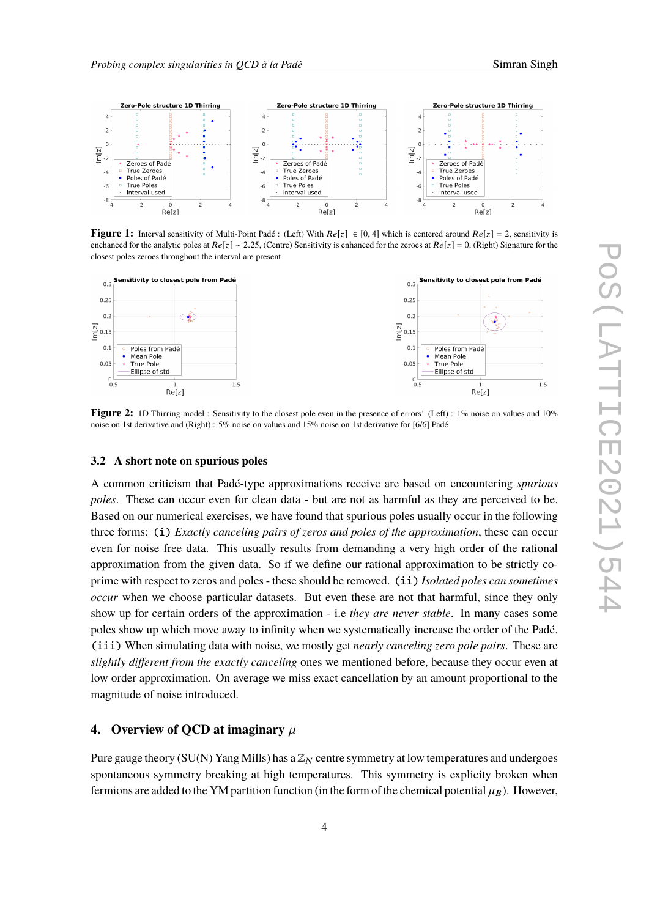

<span id="page-3-0"></span>

**Figure 1:** Interval sensitivity of Multi-Point Padé : (Left) With  $Re[z] \in [0, 4]$  which is centered around  $Re[z] = 2$ , sensitivity is enchanced for the analytic poles at  $Re[z] \sim 2.25$ , (Centre) Sensitivity is enhanced for the zeroes at  $Re[z] = 0$ , (Right) Signature for the closest poles zeroes throughout the interval are present

<span id="page-3-1"></span>

**Figure 2:** 1D Thirring model : Sensitivity to the closest pole even in the presence of errors! (Left) : 1% noise on values and 10% noise on 1st derivative and (Right) : 5% noise on values and 15% noise on 1st derivative for [6/6] Padé

#### **3.2 A short note on spurious poles**

A common criticism that Padé-type approximations receive are based on encountering *spurious poles*. These can occur even for clean data - but are not as harmful as they are perceived to be. Based on our numerical exercises, we have found that spurious poles usually occur in the following three forms: (i) *Exactly canceling pairs of zeros and poles of the approximation*, these can occur even for noise free data. This usually results from demanding a very high order of the rational approximation from the given data. So if we define our rational approximation to be strictly coprime with respect to zeros and poles - these should be removed. (ii) *Isolated poles can sometimes occur* when we choose particular datasets. But even these are not that harmful, since they only show up for certain orders of the approximation - i.e *they are never stable*. In many cases some poles show up which move away to infinity when we systematically increase the order of the Padé. (iii) When simulating data with noise, we mostly get *nearly canceling zero pole pairs*. These are *slightly different from the exactly canceling* ones we mentioned before, because they occur even at low order approximation. On average we miss exact cancellation by an amount proportional to the magnitude of noise introduced.

# **4.** Overview of QCD at imaginary  $\mu$

Pure gauge theory (SU(N) Yang Mills) has a  $\mathbb{Z}_N$  centre symmetry at low temperatures and undergoes spontaneous symmetry breaking at high temperatures. This symmetry is explicity broken when fermions are added to the YM partition function (in the form of the chemical potential  $\mu_B$ ). However,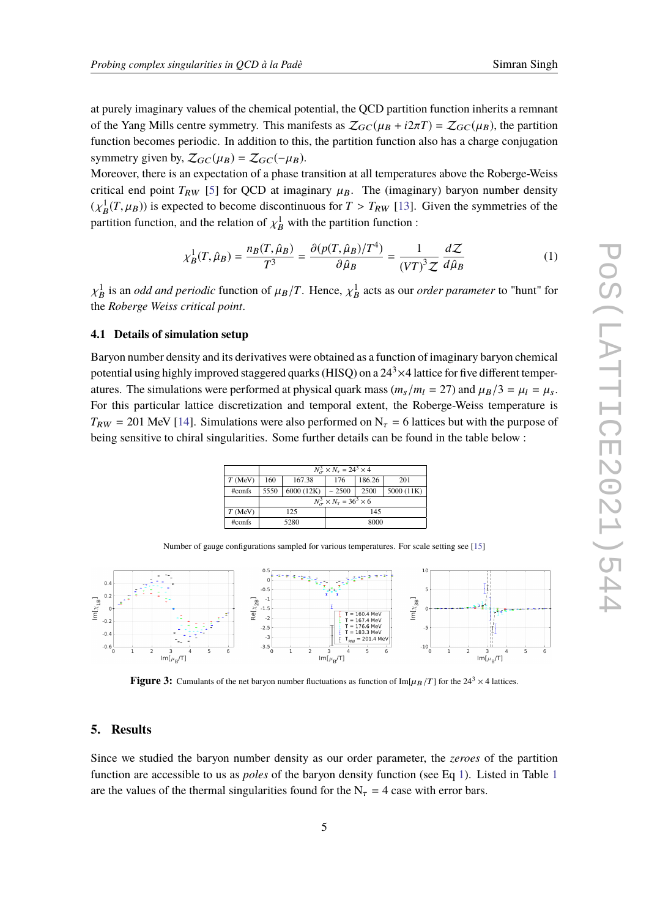at purely imaginary values of the chemical potential, the QCD partition function inherits a remnant of the Yang Mills centre symmetry. This manifests as  $\mathcal{Z}_{GC}(\mu_B + i2\pi T) = \mathcal{Z}_{GC}(\mu_B)$ , the partition function becomes periodic. In addition to this, the partition function also has a charge conjugation symmetry given by,  $\mathcal{Z}_{GC}(\mu_B) = \mathcal{Z}_{GC}(-\mu_B)$ .

Moreover, there is an expectation of a phase transition at all temperatures above the Roberge-Weiss critical end point  $T_{RW}$  [\[5\]](#page-7-4) for QCD at imaginary  $\mu_B$ . The (imaginary) baryon number density  $(\chi_B^1(T, \mu_B))$  is expected to become discontinuous for  $T > T_{RW}$  [\[13\]](#page-8-6). Given the symmetries of the neutrino function function function. partition function, and the relation of  $\chi_B^1$  with the partition function :

<span id="page-4-0"></span>
$$
\chi_B^1(T, \hat{\mu}_B) = \frac{n_B(T, \hat{\mu}_B)}{T^3} = \frac{\partial (p(T, \hat{\mu}_B)/T^4)}{\partial \hat{\mu}_B} = \frac{1}{(VT)^3 \mathcal{Z}} \frac{d\mathcal{Z}}{d\hat{\mu}_B}
$$
(1)

χ the *Roberge Weiss critical point*.  $\frac{1}{B}$  is an *odd and periodic* function of  $\mu_B/T$ . Hence,  $\chi_B^1$  acts as our *order parameter* to "hunt" for

# **4.1 Details of simulation setup**

Baryon number density and its derivatives were obtained as a function of imaginary baryon chemical potential using highly improved staggered quarks (HISQ) on a  $24<sup>3</sup> \times 4$  lattice for five different temperatures. The simulations were performed at physical quark mass  $(m_s/m_l = 27)$  and  $\mu_B/3 = \mu_l = \mu_s$ . For this particular lattice discretization and temporal extent, the Roberge-Weiss temperature is  $T_{RW}$  = 201 MeV [\[14\]](#page-8-7). Simulations were also performed on  $N_{\tau}$  = 6 lattices but with the purpose of being sensitive to chiral singularities. Some further details can be found in the table below :

|           | $N_{\tau}^{3} \times N_{\tau} = 24^{3} \times 4$ |            |             |        |            |  |  |  |
|-----------|--------------------------------------------------|------------|-------------|--------|------------|--|--|--|
| $T$ (MeV) | 167.38<br>160                                    |            | 176         | 186.26 | 201        |  |  |  |
| #confs    | 5550                                             | 6000 (12K) | $\sim 2500$ | 2500   | 5000 (11K) |  |  |  |
|           | $N_{\tau}^{3} \times N_{\tau} = 36^{3} \times 6$ |            |             |        |            |  |  |  |
| $T$ (MeV) |                                                  | 125        | 145         |        |            |  |  |  |
| #confs    |                                                  | 5280       | 8000        |        |            |  |  |  |

Number of gauge configurations sampled for various temperatures. For scale setting see [\[15\]](#page-8-8)



**Figure 3:** Cumulants of the net baryon number fluctuations as function of  $\text{Im}[\mu_B/T]$  for the 24<sup>3</sup>  $\times$  4 lattices.

#### **5. Results**

Since we studied the baryon number density as our order parameter, the *zeroes* of the partition function are accessible to us as *poles* of the baryon density function (see Eq [1\)](#page-4-0). Listed in Table [1](#page-5-0) are the values of the thermal singularities found for the  $N<sub>\tau</sub> = 4$  case with error bars.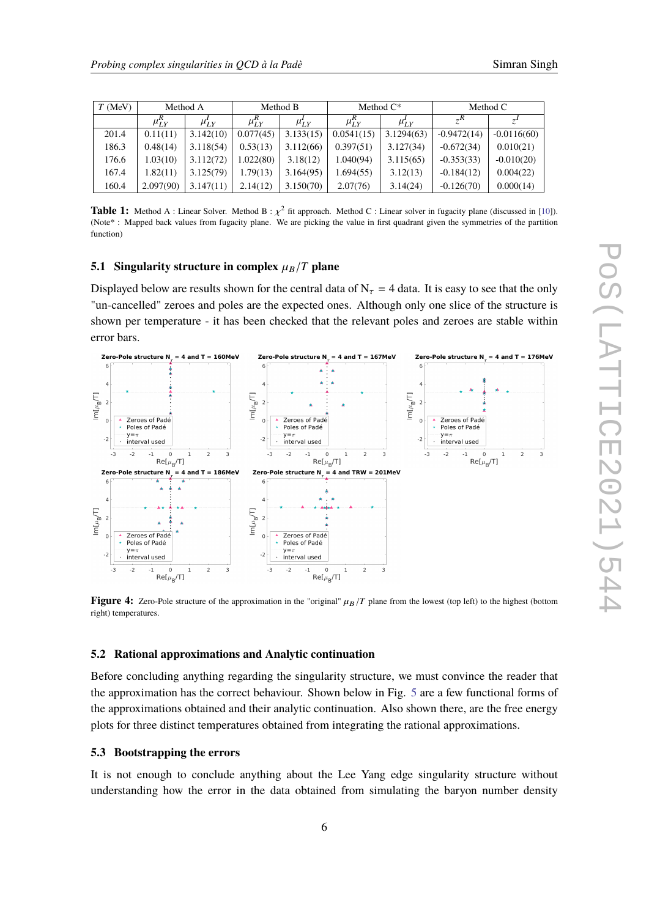<span id="page-5-0"></span>

| $T$ (MeV) | Method A     |               | Method B     |             | Method $C^*$ |                     | Method C      |               |  |  |
|-----------|--------------|---------------|--------------|-------------|--------------|---------------------|---------------|---------------|--|--|
|           | $\mu_{LY}^R$ | $\mu_{I,Y}^*$ | $\mu_{LY}^R$ | $\mu_{I,Y}$ | $\mu_{LY}^R$ | $\mu_{LY}^{\prime}$ | $R^{\prime}$  | $\tau$        |  |  |
| 201.4     | 0.11(11)     | 3.142(10)     | 0.077(45)    | 3.133(15)   | 0.0541(15)   | 3.1294(63)          | $-0.9472(14)$ | $-0.0116(60)$ |  |  |
| 186.3     | 0.48(14)     | 3.118(54)     | 0.53(13)     | 3.112(66)   | 0.397(51)    | 3.127(34)           | $-0.672(34)$  | 0.010(21)     |  |  |
| 176.6     | 1.03(10)     | 3.112(72)     | .022(80)     | 3.18(12)    | 1.040(94)    | 3.115(65)           | $-0.353(33)$  | $-0.010(20)$  |  |  |
| 167.4     | 1.82(11)     | 3.125(79)     | 1.79(13)     | 3.164(95)   | 1.694(55)    | 3.12(13)            | $-0.184(12)$  | 0.004(22)     |  |  |
| 160.4     | 2.097(90)    | 3.147(11)     | 2.14(12)     | 3.150(70)   | 2.07(76)     | 3.14(24)            | $-0.126(70)$  | 0.000(14)     |  |  |

**Table 1:** Method A : Linear Solver. Method B :  $\chi^2$  fit approach. Method C : Linear solver in fugacity plane (discussed in [\[10\]](#page-8-3)). (Note\* : Mapped back values from fugacity plane. We are picking the value in first quadrant given the symmetries of the partition function)

#### **5.1 Singularity structure in complex**  $\mu_B/T$  plane

Displayed below are results shown for the central data of  $N<sub>\tau</sub> = 4$  data. It is easy to see that the only "un-cancelled" zeroes and poles are the expected ones. Although only one slice of the structure is shown per temperature - it has been checked that the relevant poles and zeroes are stable within error bars.



**Figure 4:** Zero-Pole structure of the approximation in the "original"  $\mu_B/T$  plane from the lowest (top left) to the highest (bottom right) temperatures.

# **5.2 Rational approximations and Analytic continuation**

Before concluding anything regarding the singularity structure, we must convince the reader that the approximation has the correct behaviour. Shown below in Fig. [5](#page-6-0) are a few functional forms of the approximations obtained and their analytic continuation. Also shown there, are the free energy plots for three distinct temperatures obtained from integrating the rational approximations.

# **5.3 Bootstrapping the errors**

It is not enough to conclude anything about the Lee Yang edge singularity structure without understanding how the error in the data obtained from simulating the baryon number density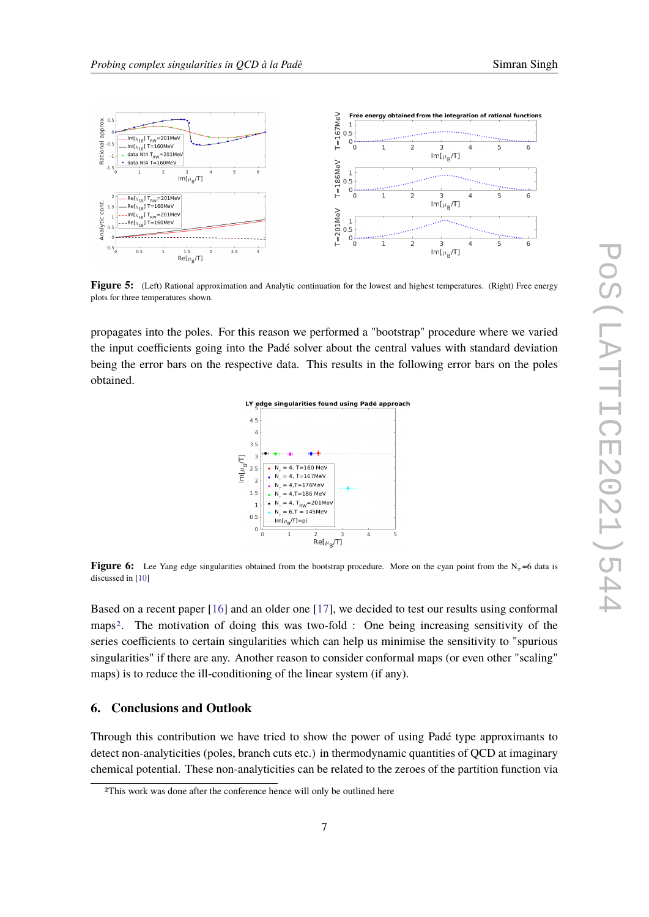<span id="page-6-0"></span>

**Figure 5:** (Left) Rational approximation and Analytic continuation for the lowest and highest temperatures. (Right) Free energy plots for three temperatures shown.

propagates into the poles. For this reason we performed a "bootstrap" procedure where we varied the input coefficients going into the Padé solver about the central values with standard deviation being the error bars on the respective data. This results in the following error bars on the poles obtained.



**Figure 6:** Lee Yang edge singularities obtained from the bootstrap procedure. More on the cyan point from the N<sub>τ</sub>=6 data is discussed in [\[10\]](#page-8-3)

Based on a recent paper [\[16\]](#page-8-9) and an older one [\[17\]](#page-8-10), we decided to test our results using conformal maps[2](#page-6-1). The motivation of doing this was two-fold : One being increasing sensitivity of the series coefficients to certain singularities which can help us minimise the sensitivity to "spurious singularities" if there are any. Another reason to consider conformal maps (or even other "scaling" maps) is to reduce the ill-conditioning of the linear system (if any).

# **6. Conclusions and Outlook**

Through this contribution we have tried to show the power of using Padé type approximants to detect non-analyticities (poles, branch cuts etc.) in thermodynamic quantities of QCD at imaginary chemical potential. These non-analyticities can be related to the zeroes of the partition function via

<span id="page-6-1"></span><sup>2</sup>This work was done after the conference hence will only be outlined here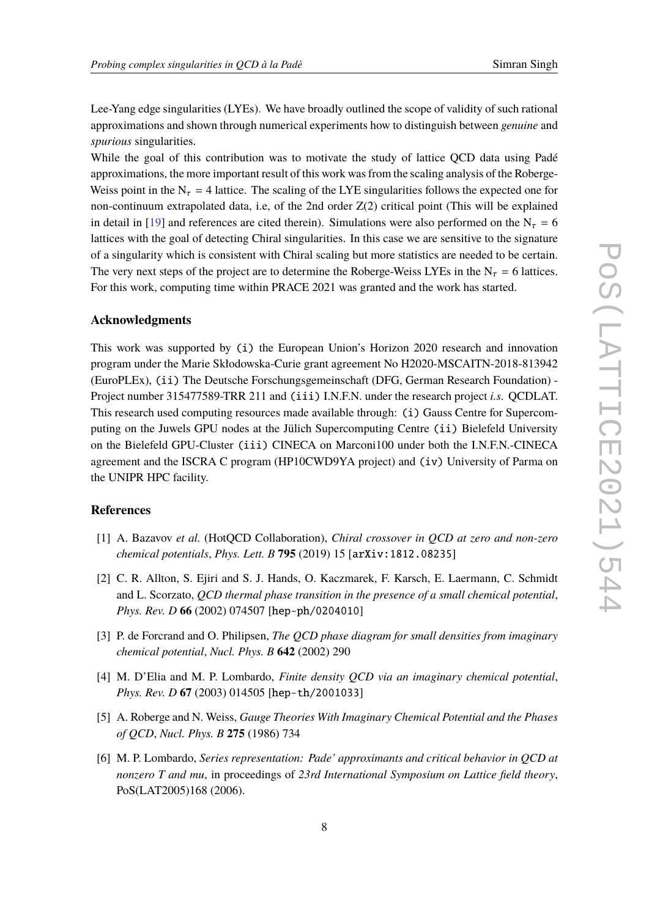Lee-Yang edge singularities (LYEs). We have broadly outlined the scope of validity of such rational approximations and shown through numerical experiments how to distinguish between *genuine* and *spurious* singularities.

While the goal of this contribution was to motivate the study of lattice QCD data using Padé approximations, the more important result of this work was from the scaling analysis of the Roberge-Weiss point in the  $N_{\tau} = 4$  lattice. The scaling of the LYE singularities follows the expected one for non-continuum extrapolated data, i.e, of the 2nd order Z(2) critical point (This will be explained in detail in [\[19\]](#page-8-11) and references are cited therein). Simulations were also performed on the  $N_{\tau} = 6$ lattices with the goal of detecting Chiral singularities. In this case we are sensitive to the signature of a singularity which is consistent with Chiral scaling but more statistics are needed to be certain. The very next steps of the project are to determine the Roberge-Weiss LYEs in the  $N_{\tau} = 6$  lattices. For this work, computing time within PRACE 2021 was granted and the work has started.

# **Acknowledgments**

This work was supported by (i) the European Union's Horizon 2020 research and innovation program under the Marie Skłodowska-Curie grant agreement No H2020-MSCAITN-2018-813942 (EuroPLEx), (ii) The Deutsche Forschungsgemeinschaft (DFG, German Research Foundation) - Project number 315477589-TRR 211 and (iii) I.N.F.N. under the research project *i.s.* QCDLAT. This research used computing resources made available through: (i) Gauss Centre for Supercomputing on the Juwels GPU nodes at the Jülich Supercomputing Centre (ii) Bielefeld University on the Bielefeld GPU-Cluster (iii) CINECA on Marconi100 under both the I.N.F.N.-CINECA agreement and the ISCRA C program (HP10CWD9YA project) and (iv) University of Parma on the UNIPR HPC facility.

# **References**

- <span id="page-7-0"></span>[1] A. Bazavov *et al.* (HotQCD Collaboration), *Chiral crossover in QCD at zero and non-zero chemical potentials*, *Phys. Lett. B* **795** (2019) 15 [arXiv:1812.08235]
- <span id="page-7-1"></span>[2] C. R. Allton, S. Ejiri and S. J. Hands, O. Kaczmarek, F. Karsch, E. Laermann, C. Schmidt and L. Scorzato, *QCD thermal phase transition in the presence of a small chemical potential*, *Phys. Rev. D* **66** (2002) 074507 [hep-ph/0204010]
- <span id="page-7-2"></span>[3] P. de Forcrand and O. Philipsen, *The QCD phase diagram for small densities from imaginary chemical potential*, *Nucl. Phys. B* **642** (2002) 290
- <span id="page-7-3"></span>[4] M. D'Elia and M. P. Lombardo, *Finite density QCD via an imaginary chemical potential*, *Phys. Rev. D* **67** (2003) 014505 [hep-th/2001033]
- <span id="page-7-4"></span>[5] A. Roberge and N. Weiss, *Gauge Theories With Imaginary Chemical Potential and the Phases of QCD*, *Nucl. Phys. B* **275** (1986) 734
- <span id="page-7-5"></span>[6] M. P. Lombardo, *Series representation: Pade' approximants and critical behavior in QCD at nonzero T and mu*, in proceedings of *23rd International Symposium on Lattice field theory*, PoS(LAT2005)168 (2006).